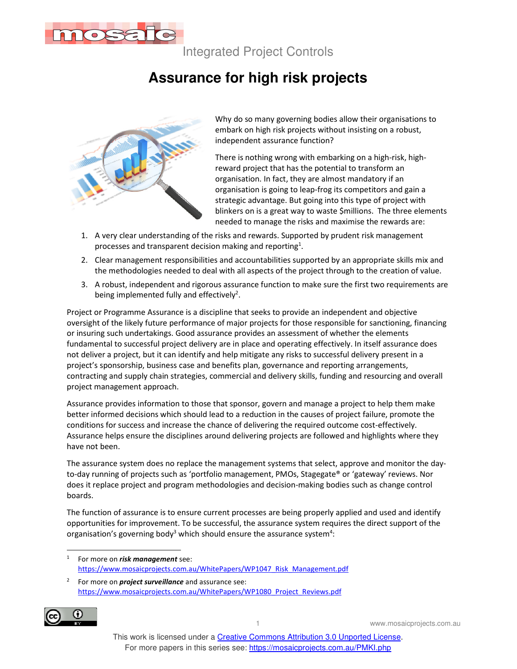

Integrated Project Controls

## **Assurance for high risk projects**



Why do so many governing bodies allow their organisations to embark on high risk projects without insisting on a robust, independent assurance function?

There is nothing wrong with embarking on a high-risk, highreward project that has the potential to transform an organisation. In fact, they are almost mandatory if an organisation is going to leap-frog its competitors and gain a strategic advantage. But going into this type of project with blinkers on is a great way to waste \$millions. The three elements needed to manage the risks and maximise the rewards are:

- 1. A very clear understanding of the risks and rewards. Supported by prudent risk management processes and transparent decision making and reporting<sup>1</sup>.
- 2. Clear management responsibilities and accountabilities supported by an appropriate skills mix and the methodologies needed to deal with all aspects of the project through to the creation of value.
- 3. A robust, independent and rigorous assurance function to make sure the first two requirements are being implemented fully and effectively<sup>2</sup>.

Project or Programme Assurance is a discipline that seeks to provide an independent and objective oversight of the likely future performance of major projects for those responsible for sanctioning, financing or insuring such undertakings. Good assurance provides an assessment of whether the elements fundamental to successful project delivery are in place and operating effectively. In itself assurance does not deliver a project, but it can identify and help mitigate any risks to successful delivery present in a project's sponsorship, business case and benefits plan, governance and reporting arrangements, contracting and supply chain strategies, commercial and delivery skills, funding and resourcing and overall project management approach.

Assurance provides information to those that sponsor, govern and manage a project to help them make better informed decisions which should lead to a reduction in the causes of project failure, promote the conditions for success and increase the chance of delivering the required outcome cost-effectively. Assurance helps ensure the disciplines around delivering projects are followed and highlights where they have not been.

The assurance system does no replace the management systems that select, approve and monitor the dayto-day running of projects such as 'portfolio management, PMOs, Stagegate® or 'gateway' reviews. Nor does it replace project and program methodologies and decision-making bodies such as change control boards.

The function of assurance is to ensure current processes are being properly applied and used and identify opportunities for improvement. To be successful, the assurance system requires the direct support of the organisation's governing body<sup>3</sup> which should ensure the assurance system<sup>4</sup>:

<sup>2</sup> For more on *project surveillance* and assurance see: https://www.mosaicprojects.com.au/WhitePapers/WP1080\_Project\_Reviews.pdf



<sup>1</sup> For more on *risk management* see: https://www.mosaicprojects.com.au/WhitePapers/WP1047\_Risk\_Management.pdf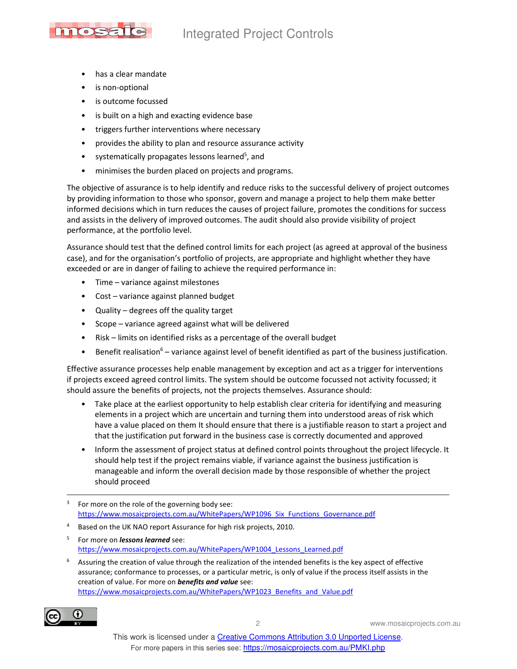

- mosa
	- has a clear mandate
	- is non-optional
	- is outcome focussed
	- is built on a high and exacting evidence base
	- triggers further interventions where necessary
	- provides the ability to plan and resource assurance activity
	- systematically propagates lessons learned<sup>5</sup>, and
	- minimises the burden placed on projects and programs.

The objective of assurance is to help identify and reduce risks to the successful delivery of project outcomes by providing information to those who sponsor, govern and manage a project to help them make better informed decisions which in turn reduces the causes of project failure, promotes the conditions for success and assists in the delivery of improved outcomes. The audit should also provide visibility of project performance, at the portfolio level.

Assurance should test that the defined control limits for each project (as agreed at approval of the business case), and for the organisation's portfolio of projects, are appropriate and highlight whether they have exceeded or are in danger of failing to achieve the required performance in:

- Time variance against milestones
- Cost variance against planned budget
- Quality degrees off the quality target
- Scope variance agreed against what will be delivered
- Risk limits on identified risks as a percentage of the overall budget
- Benefit realisation<sup>6</sup> variance against level of benefit identified as part of the business justification.

Effective assurance processes help enable management by exception and act as a trigger for interventions if projects exceed agreed control limits. The system should be outcome focussed not activity focussed; it should assure the benefits of projects, not the projects themselves. Assurance should:

- Take place at the earliest opportunity to help establish clear criteria for identifying and measuring elements in a project which are uncertain and turning them into understood areas of risk which have a value placed on them It should ensure that there is a justifiable reason to start a project and that the justification put forward in the business case is correctly documented and approved
- Inform the assessment of project status at defined control points throughout the project lifecycle. It should help test if the project remains viable, if variance against the business justification is manageable and inform the overall decision made by those responsible of whether the project should proceed

- 4 Based on the UK NAO report Assurance for high risk projects, 2010.
- 5 For more on *lessons learned* see: https://www.mosaicprojects.com.au/WhitePapers/WP1004 Lessons Learned.pdf

6 Assuring the creation of value through the realization of the intended benefits is the key aspect of effective assurance; conformance to processes, or a particular metric, is only of value if the process itself assists in the creation of value. For more on *benefits and value* see: https://www.mosaicprojects.com.au/WhitePapers/WP1023\_Benefits\_and\_Value.pdf



<sup>3</sup> For more on the role of the governing body see: https://www.mosaicprojects.com.au/WhitePapers/WP1096\_Six\_Functions\_Governance.pdf